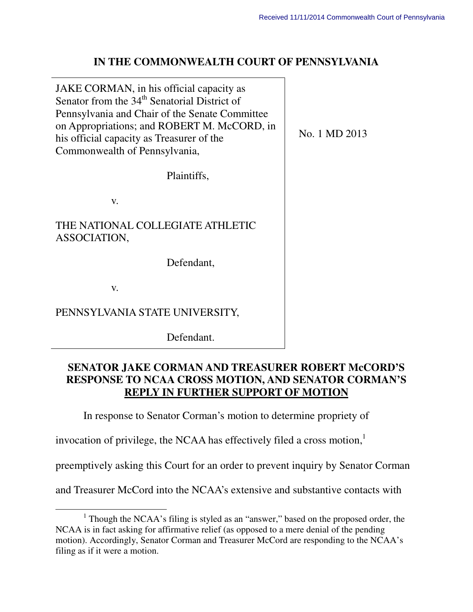No. 1 MD 2013

# **IN THE COMMONWEALTH COURT OF PENNSYLVANIA**

JAKE CORMAN, in his official capacity as Senator from the  $34<sup>th</sup>$  Senatorial District of Pennsylvania and Chair of the Senate Committee on Appropriations; and ROBERT M. McCORD, in his official capacity as Treasurer of the Commonwealth of Pennsylvania,

Plaintiffs,

v.

THE NATIONAL COLLEGIATE ATHLETIC ASSOCIATION,

Defendant,

v.

 $\overline{a}$ 

PENNSYLVANIA STATE UNIVERSITY,

Defendant.

# **SENATOR JAKE CORMAN AND TREASURER ROBERT McCORD'S RESPONSE TO NCAA CROSS MOTION, AND SENATOR CORMAN'S REPLY IN FURTHER SUPPORT OF MOTION**

In response to Senator Corman's motion to determine propriety of

invocation of privilege, the NCAA has effectively filed a cross motion,<sup>1</sup>

preemptively asking this Court for an order to prevent inquiry by Senator Corman

and Treasurer McCord into the NCAA's extensive and substantive contacts with

<sup>&</sup>lt;sup>1</sup> Though the NCAA's filing is styled as an "answer," based on the proposed order, the NCAA is in fact asking for affirmative relief (as opposed to a mere denial of the pending motion). Accordingly, Senator Corman and Treasurer McCord are responding to the NCAA's filing as if it were a motion.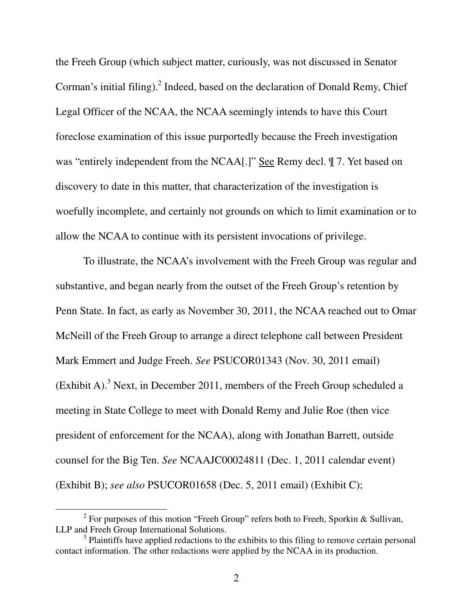the Freeh Group (which subject matter, curiously, was not discussed in Senator Corman's initial filing). $^2$  Indeed, based on the declaration of Donald Remy, Chief Legal Officer of the NCAA, the NCAA seemingly intends to have this Court foreclose examination of this issue purportedly because the Freeh investigation was "entirely independent from the NCAA[.]" See Remy decl.  $\parallel$  7. Yet based on discovery to date in this matter, that characterization of the investigation is woefully incomplete, and certainly not grounds on which to limit examination or to allow the NCAA to continue with its persistent invocations of privilege.

To illustrate, the NCAA's involvement with the Freeh Group was regular and substantive, and began nearly from the outset of the Freeh Group's retention by Penn State. In fact, as early as November 30, 2011, the NCAA reached out to Omar McNeill of the Freeh Group to arrange a direct telephone call between President Mark Emmert and Judge Freeh. *See* PSUCOR01343 (Nov. 30, 2011 email) (Exhibit A).<sup>3</sup> Next, in December 2011, members of the Freeh Group scheduled a meeting in State College to meet with Donald Remy and Julie Roe (then vice president of enforcement for the NCAA), along with Jonathan Barrett, outside counsel for the Big Ten. *See* NCAAJC00024811 (Dec. 1, 2011 calendar event) (Exhibit B); *see also* PSUCOR01658 (Dec. 5, 2011 email) (Exhibit C);

 $\overline{a}$ 

<sup>&</sup>lt;sup>2</sup> For purposes of this motion "Freeh Group" refers both to Freeh, Sporkin & Sullivan, LLP and Freeh Group International Solutions.

 $3$  Plaintiffs have applied redactions to the exhibits to this filing to remove certain personal contact information. The other redactions were applied by the NCAA in its production.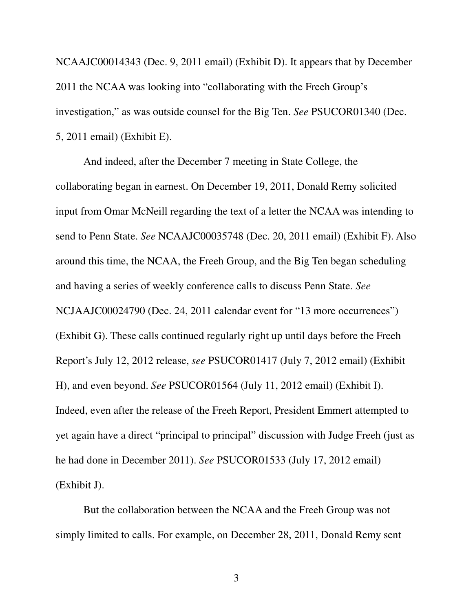NCAAJC00014343 (Dec. 9, 2011 email) (Exhibit D). It appears that by December 2011 the NCAA was looking into "collaborating with the Freeh Group's investigation," as was outside counsel for the Big Ten. *See* PSUCOR01340 (Dec. 5, 2011 email) (Exhibit E).

And indeed, after the December 7 meeting in State College, the collaborating began in earnest. On December 19, 2011, Donald Remy solicited input from Omar McNeill regarding the text of a letter the NCAA was intending to send to Penn State. *See* NCAAJC00035748 (Dec. 20, 2011 email) (Exhibit F). Also around this time, the NCAA, the Freeh Group, and the Big Ten began scheduling and having a series of weekly conference calls to discuss Penn State. *See*  NCJAAJC00024790 (Dec. 24, 2011 calendar event for "13 more occurrences") (Exhibit G). These calls continued regularly right up until days before the Freeh Report's July 12, 2012 release, *see* PSUCOR01417 (July 7, 2012 email) (Exhibit H), and even beyond. *See* PSUCOR01564 (July 11, 2012 email) (Exhibit I). Indeed, even after the release of the Freeh Report, President Emmert attempted to yet again have a direct "principal to principal" discussion with Judge Freeh (just as he had done in December 2011). *See* PSUCOR01533 (July 17, 2012 email) (Exhibit J).

But the collaboration between the NCAA and the Freeh Group was not simply limited to calls. For example, on December 28, 2011, Donald Remy sent

3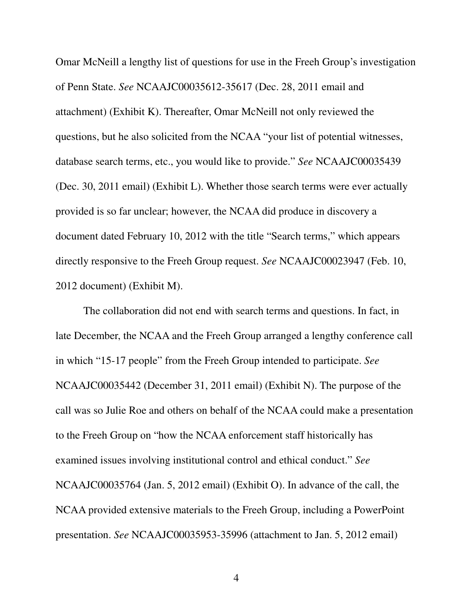Omar McNeill a lengthy list of questions for use in the Freeh Group's investigation of Penn State. *See* NCAAJC00035612-35617 (Dec. 28, 2011 email and attachment) (Exhibit K). Thereafter, Omar McNeill not only reviewed the questions, but he also solicited from the NCAA "your list of potential witnesses, database search terms, etc., you would like to provide." *See* NCAAJC00035439 (Dec. 30, 2011 email) (Exhibit L). Whether those search terms were ever actually provided is so far unclear; however, the NCAA did produce in discovery a document dated February 10, 2012 with the title "Search terms," which appears directly responsive to the Freeh Group request. *See* NCAAJC00023947 (Feb. 10, 2012 document) (Exhibit M).

The collaboration did not end with search terms and questions. In fact, in late December, the NCAA and the Freeh Group arranged a lengthy conference call in which "15-17 people" from the Freeh Group intended to participate. *See* NCAAJC00035442 (December 31, 2011 email) (Exhibit N). The purpose of the call was so Julie Roe and others on behalf of the NCAA could make a presentation to the Freeh Group on "how the NCAA enforcement staff historically has examined issues involving institutional control and ethical conduct." *See* NCAAJC00035764 (Jan. 5, 2012 email) (Exhibit O). In advance of the call, the NCAA provided extensive materials to the Freeh Group, including a PowerPoint presentation. *See* NCAAJC00035953-35996 (attachment to Jan. 5, 2012 email)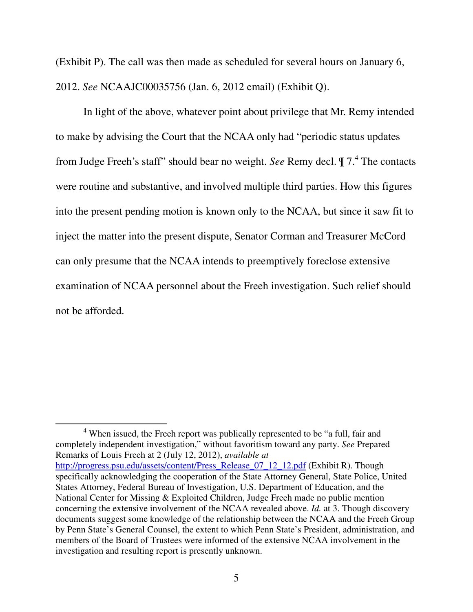(Exhibit P). The call was then made as scheduled for several hours on January 6, 2012. *See* NCAAJC00035756 (Jan. 6, 2012 email) (Exhibit Q).

In light of the above, whatever point about privilege that Mr. Remy intended to make by advising the Court that the NCAA only had "periodic status updates from Judge Freeh's staff" should bear no weight. *See* Remy decl.  $\parallel 7.^4$  The contacts were routine and substantive, and involved multiple third parties. How this figures into the present pending motion is known only to the NCAA, but since it saw fit to inject the matter into the present dispute, Senator Corman and Treasurer McCord can only presume that the NCAA intends to preemptively foreclose extensive examination of NCAA personnel about the Freeh investigation. Such relief should not be afforded.

<sup>4</sup> When issued, the Freeh report was publically represented to be "a full, fair and completely independent investigation," without favoritism toward any party. *See* Prepared Remarks of Louis Freeh at 2 (July 12, 2012), *available at*  http://progress.psu.edu/assets/content/Press\_Release\_07\_12\_12.pdf (Exhibit R). Though specifically acknowledging the cooperation of the State Attorney General, State Police, United States Attorney, Federal Bureau of Investigation, U.S. Department of Education, and the National Center for Missing & Exploited Children, Judge Freeh made no public mention concerning the extensive involvement of the NCAA revealed above. *Id.* at 3. Though discovery documents suggest some knowledge of the relationship between the NCAA and the Freeh Group by Penn State's General Counsel, the extent to which Penn State's President, administration, and members of the Board of Trustees were informed of the extensive NCAA involvement in the investigation and resulting report is presently unknown.

 $\overline{a}$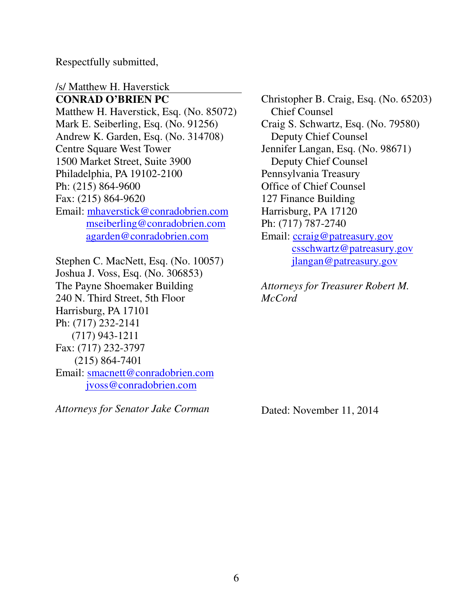Respectfully submitted,

/s/ Matthew H. Haverstick

**CONRAD O'BRIEN PC**  Matthew H. Haverstick, Esq. (No. 85072) Mark E. Seiberling, Esq. (No. 91256) Andrew K. Garden, Esq. (No. 314708) Centre Square West Tower 1500 Market Street, Suite 3900 Philadelphia, PA 19102-2100 Ph: (215) 864-9600 Fax: (215) 864-9620 Email: mhaverstick@conradobrien.com mseiberling@conradobrien.com agarden@conradobrien.com

Stephen C. MacNett, Esq. (No. 10057) Joshua J. Voss, Esq. (No. 306853) The Payne Shoemaker Building 240 N. Third Street, 5th Floor Harrisburg, PA 17101 Ph: (717) 232-2141 (717) 943-1211 Fax: (717) 232-3797 (215) 864-7401 Email: smacnett@conradobrien.com jvoss@conradobrien.com

*Attorneys for Senator Jake Corman*

Christopher B. Craig, Esq. (No. 65203) Chief Counsel Craig S. Schwartz, Esq. (No. 79580) Deputy Chief Counsel Jennifer Langan, Esq. (No. 98671) Deputy Chief Counsel Pennsylvania Treasury Office of Chief Counsel 127 Finance Building Harrisburg, PA 17120 Ph: (717) 787-2740 Email: ccraig@patreasury.gov csschwartz@patreasury.gov jlangan@patreasury.gov

*Attorneys for Treasurer Robert M. McCord* 

Dated: November 11, 2014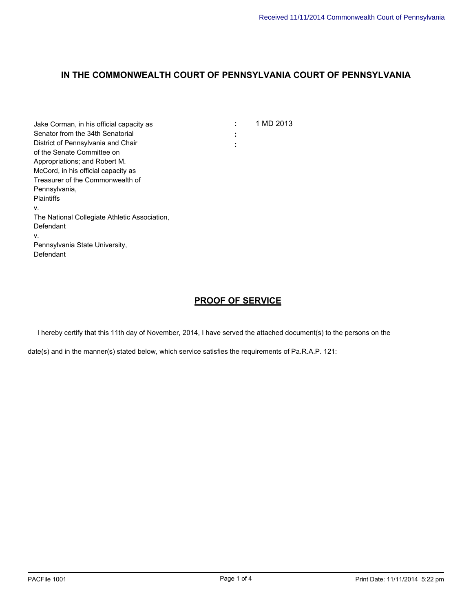| Jake Corman, in his official capacity as      |        | 1 MD 2013 |
|-----------------------------------------------|--------|-----------|
| Senator from the 34th Senatorial              | ٠<br>٠ |           |
| District of Pennsylvania and Chair            | ٠      |           |
| of the Senate Committee on                    |        |           |
| Appropriations; and Robert M.                 |        |           |
| McCord, in his official capacity as           |        |           |
| Treasurer of the Commonwealth of              |        |           |
| Pennsylvania,                                 |        |           |
| <b>Plaintiffs</b>                             |        |           |
| V.                                            |        |           |
| The National Collegiate Athletic Association, |        |           |
| Defendant                                     |        |           |
| v.                                            |        |           |
| Pennsylvania State University,                |        |           |
| Defendant                                     |        |           |
|                                               |        |           |

### **PROOF OF SERVICE**

I hereby certify that this 11th day of November, 2014, I have served the attached document(s) to the persons on the

date(s) and in the manner(s) stated below, which service satisfies the requirements of Pa.R.A.P. 121: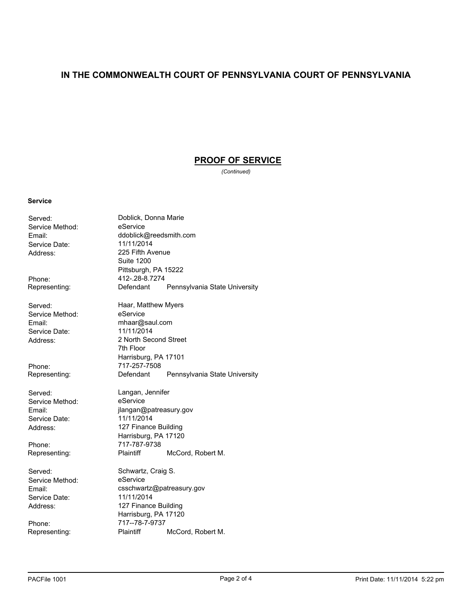### **PROOF OF SERVICE**

*(Continued)*

#### **Service**

Served: Doblick, Donna Marie Service Method: eService Service Date: Address: 225 Fifth Avenue Phone: 412-.28-8.7274<br>Representing: Defendant Served: **Haar, Matthew Myers** Service Method: eService Email: mhaar@saul.com<br>
Service Date: 11/11/2014 Service Date: Address: 2 North Second Street

Service Method: Service Date: 11/11/2014

Service Method: Service Date:

Email: ddoblick@reedsmith.com<br>
Service Date: 11/11/2014 Suite 1200 Pittsburgh, PA 15222 Representing: Defendant Pennsylvania State University 7th Floor Harrisburg, PA 17101 Phone: 717-257-7508<br>Representing: Defendant Pennsylvania State University Served: Langan, Jennifer<br>
Service Method: eService Email: jlangan@patreasury.gov Address: 127 Finance Building Harrisburg, PA 17120 Phone: 717-787-9738 Representing: Plaintiff McCord, Robert M. Served: Schwartz, Craig S.<br>
Service Method: Service Email: csschwartz@patreasury.gov<br>
Service Date: 11/11/2014 Address: 127 Finance Building

Harrisburg, PA 17120 Phone: 717--78-7-9737<br>Representing: Plaintiff Representing: Plaintiff McCord, Robert M.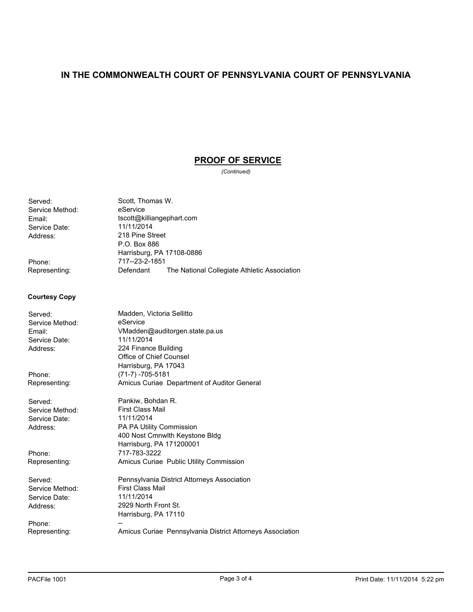### **PROOF OF SERVICE**

*(Continued)*

Served: Scott, Thomas W.<br>Service Method: eService Service Method: Service Date:<br>Address:

Email: tscott@killiangephart.com<br>
Service Date: 11/11/2014 218 Pine Street P.O. Box 886 Harrisburg, PA 17108-0886 Phone: 717--23-2-1851<br>Representing: Defendant The National Collegiate Athletic Association

#### **Courtesy Copy**

| Served:         | Madden, Victoria Sellitto                                 |
|-----------------|-----------------------------------------------------------|
| Service Method: | eService                                                  |
| Email:          | VMadden@auditorgen.state.pa.us                            |
| Service Date:   | 11/11/2014                                                |
| Address:        | 224 Finance Building                                      |
|                 | Office of Chief Counsel                                   |
|                 | Harrisburg, PA 17043                                      |
| Phone:          | $(71-7) - 705 - 5181$                                     |
| Representing:   | Amicus Curiae Department of Auditor General               |
| Served:         | Pankiw, Bohdan R.                                         |
| Service Method: | <b>First Class Mail</b>                                   |
| Service Date:   | 11/11/2014                                                |
| Address:        | <b>PA PA Utility Commission</b>                           |
|                 | 400 Nost Cmnwlth Keystone Bldg                            |
|                 | Harrisburg, PA 171200001                                  |
| Phone:          | 717-783-3222                                              |
| Representing:   | Amicus Curiae Public Utility Commission                   |
| Served:         | Pennsylvania District Attorneys Association               |
| Service Method: | <b>First Class Mail</b>                                   |
| Service Date:   | 11/11/2014                                                |
| Address:        | 2929 North Front St.                                      |
|                 | Harrisburg, PA 17110                                      |
| Phone:          |                                                           |
| Representing:   | Amicus Curiae Pennsylvania District Attorneys Association |
|                 |                                                           |